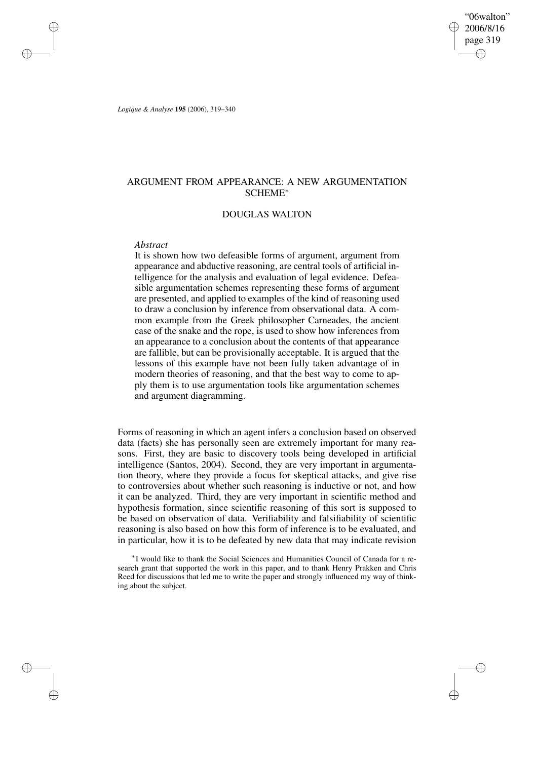"06walton" 2006/8/16 page 319 ✐ ✐

✐

✐

*Logique & Analyse* **195** (2006), 319–340

✐

✐

✐

✐

# ARGUMENT FROM APPEARANCE: A NEW ARGUMENTATION SCHEME<sup>∗</sup>

## DOUGLAS WALTON

### *Abstract*

It is shown how two defeasible forms of argument, argument from appearance and abductive reasoning, are central tools of artificial intelligence for the analysis and evaluation of legal evidence. Defeasible argumentation schemes representing these forms of argument are presented, and applied to examples of the kind of reasoning used to draw a conclusion by inference from observational data. A common example from the Greek philosopher Carneades, the ancient case of the snake and the rope, is used to show how inferences from an appearance to a conclusion about the contents of that appearance are fallible, but can be provisionally acceptable. It is argued that the lessons of this example have not been fully taken advantage of in modern theories of reasoning, and that the best way to come to apply them is to use argumentation tools like argumentation schemes and argument diagramming.

Forms of reasoning in which an agent infers a conclusion based on observed data (facts) she has personally seen are extremely important for many reasons. First, they are basic to discovery tools being developed in artificial intelligence (Santos, 2004). Second, they are very important in argumentation theory, where they provide a focus for skeptical attacks, and give rise to controversies about whether such reasoning is inductive or not, and how it can be analyzed. Third, they are very important in scientific method and hypothesis formation, since scientific reasoning of this sort is supposed to be based on observation of data. Verifiability and falsifiability of scientific reasoning is also based on how this form of inference is to be evaluated, and in particular, how it is to be defeated by new data that may indicate revision

∗ I would like to thank the Social Sciences and Humanities Council of Canada for a research grant that supported the work in this paper, and to thank Henry Prakken and Chris Reed for discussions that led me to write the paper and strongly influenced my way of thinking about the subject.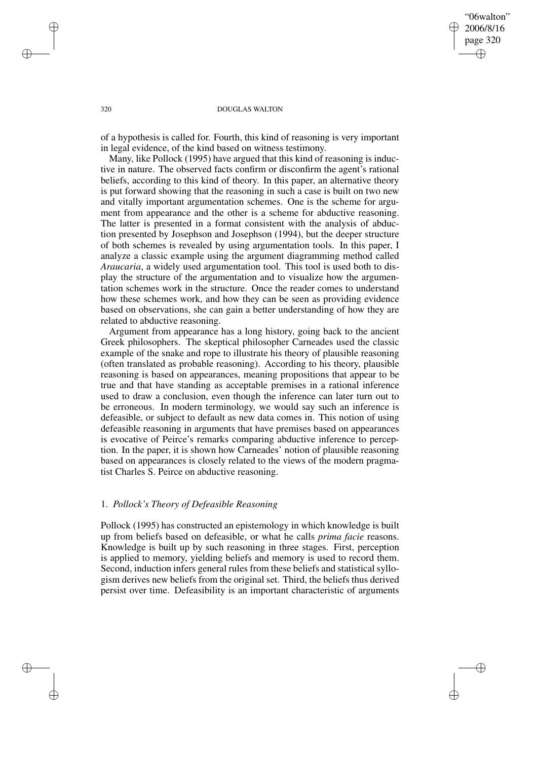"06walton" 2006/8/16 page 320 ✐ ✐

✐

✐

### 320 DOUGLAS WALTON

of a hypothesis is called for. Fourth, this kind of reasoning is very important in legal evidence, of the kind based on witness testimony.

Many, like Pollock (1995) have argued that this kind of reasoning is inductive in nature. The observed facts confirm or disconfirm the agent's rational beliefs, according to this kind of theory. In this paper, an alternative theory is put forward showing that the reasoning in such a case is built on two new and vitally important argumentation schemes. One is the scheme for argument from appearance and the other is a scheme for abductive reasoning. The latter is presented in a format consistent with the analysis of abduction presented by Josephson and Josephson (1994), but the deeper structure of both schemes is revealed by using argumentation tools. In this paper, I analyze a classic example using the argument diagramming method called *Araucaria*, a widely used argumentation tool. This tool is used both to display the structure of the argumentation and to visualize how the argumentation schemes work in the structure. Once the reader comes to understand how these schemes work, and how they can be seen as providing evidence based on observations, she can gain a better understanding of how they are related to abductive reasoning.

Argument from appearance has a long history, going back to the ancient Greek philosophers. The skeptical philosopher Carneades used the classic example of the snake and rope to illustrate his theory of plausible reasoning (often translated as probable reasoning). According to his theory, plausible reasoning is based on appearances, meaning propositions that appear to be true and that have standing as acceptable premises in a rational inference used to draw a conclusion, even though the inference can later turn out to be erroneous. In modern terminology, we would say such an inference is defeasible, or subject to default as new data comes in. This notion of using defeasible reasoning in arguments that have premises based on appearances is evocative of Peirce's remarks comparing abductive inference to perception. In the paper, it is shown how Carneades' notion of plausible reasoning based on appearances is closely related to the views of the modern pragmatist Charles S. Peirce on abductive reasoning.

## 1. *Pollock's Theory of Defeasible Reasoning*

Pollock (1995) has constructed an epistemology in which knowledge is built up from beliefs based on defeasible, or what he calls *prima facie* reasons. Knowledge is built up by such reasoning in three stages. First, perception is applied to memory, yielding beliefs and memory is used to record them. Second, induction infers general rules from these beliefs and statistical syllogism derives new beliefs from the original set. Third, the beliefs thus derived persist over time. Defeasibility is an important characteristic of arguments

✐

✐

✐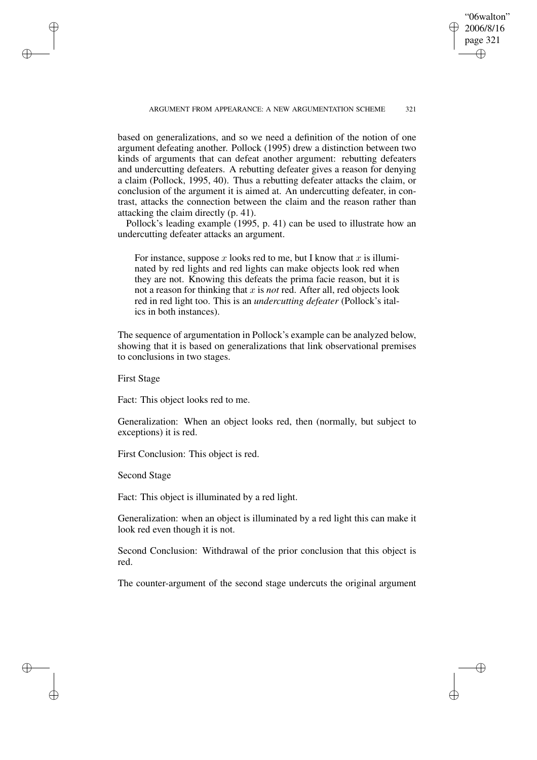"06walton" 2006/8/16 page 321 ✐ ✐

✐

✐

### ARGUMENT FROM APPEARANCE: A NEW ARGUMENTATION SCHEME 321

based on generalizations, and so we need a definition of the notion of one argument defeating another. Pollock (1995) drew a distinction between two kinds of arguments that can defeat another argument: rebutting defeaters and undercutting defeaters. A rebutting defeater gives a reason for denying a claim (Pollock, 1995, 40). Thus a rebutting defeater attacks the claim, or conclusion of the argument it is aimed at. An undercutting defeater, in contrast, attacks the connection between the claim and the reason rather than attacking the claim directly (p. 41).

Pollock's leading example (1995, p. 41) can be used to illustrate how an undercutting defeater attacks an argument.

For instance, suppose x looks red to me, but I know that x is illuminated by red lights and red lights can make objects look red when they are not. Knowing this defeats the prima facie reason, but it is not a reason for thinking that x is *not* red. After all, red objects look red in red light too. This is an *undercutting defeater* (Pollock's italics in both instances).

The sequence of argumentation in Pollock's example can be analyzed below, showing that it is based on generalizations that link observational premises to conclusions in two stages.

First Stage

✐

✐

✐

✐

Fact: This object looks red to me.

Generalization: When an object looks red, then (normally, but subject to exceptions) it is red.

First Conclusion: This object is red.

Second Stage

Fact: This object is illuminated by a red light.

Generalization: when an object is illuminated by a red light this can make it look red even though it is not.

Second Conclusion: Withdrawal of the prior conclusion that this object is red.

The counter-argument of the second stage undercuts the original argument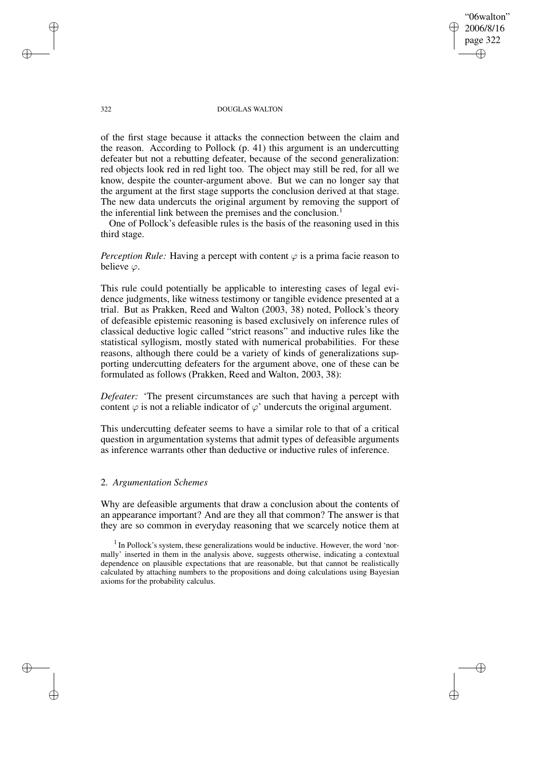"06walton" 2006/8/16 page 322 ✐ ✐

✐

✐

### 322 DOUGLAS WALTON

of the first stage because it attacks the connection between the claim and the reason. According to Pollock (p. 41) this argument is an undercutting defeater but not a rebutting defeater, because of the second generalization: red objects look red in red light too. The object may still be red, for all we know, despite the counter-argument above. But we can no longer say that the argument at the first stage supports the conclusion derived at that stage. The new data undercuts the original argument by removing the support of the inferential link between the premises and the conclusion.<sup>1</sup>

One of Pollock's defeasible rules is the basis of the reasoning used in this third stage.

*Perception Rule:* Having a percept with content  $\varphi$  is a prima facie reason to believe  $\varphi$ .

This rule could potentially be applicable to interesting cases of legal evidence judgments, like witness testimony or tangible evidence presented at a trial. But as Prakken, Reed and Walton (2003, 38) noted, Pollock's theory of defeasible epistemic reasoning is based exclusively on inference rules of classical deductive logic called "strict reasons" and inductive rules like the statistical syllogism, mostly stated with numerical probabilities. For these reasons, although there could be a variety of kinds of generalizations supporting undercutting defeaters for the argument above, one of these can be formulated as follows (Prakken, Reed and Walton, 2003, 38):

*Defeater:* 'The present circumstances are such that having a percept with content  $\varphi$  is not a reliable indicator of  $\varphi'$  undercuts the original argument.

This undercutting defeater seems to have a similar role to that of a critical question in argumentation systems that admit types of defeasible arguments as inference warrants other than deductive or inductive rules of inference.

### 2. *Argumentation Schemes*

Why are defeasible arguments that draw a conclusion about the contents of an appearance important? And are they all that common? The answer is that they are so common in everyday reasoning that we scarcely notice them at

 $<sup>1</sup>$  In Pollock's system, these generalizations would be inductive. However, the word 'nor-</sup> mally' inserted in them in the analysis above, suggests otherwise, indicating a contextual dependence on plausible expectations that are reasonable, but that cannot be realistically calculated by attaching numbers to the propositions and doing calculations using Bayesian axioms for the probability calculus.

✐

✐

✐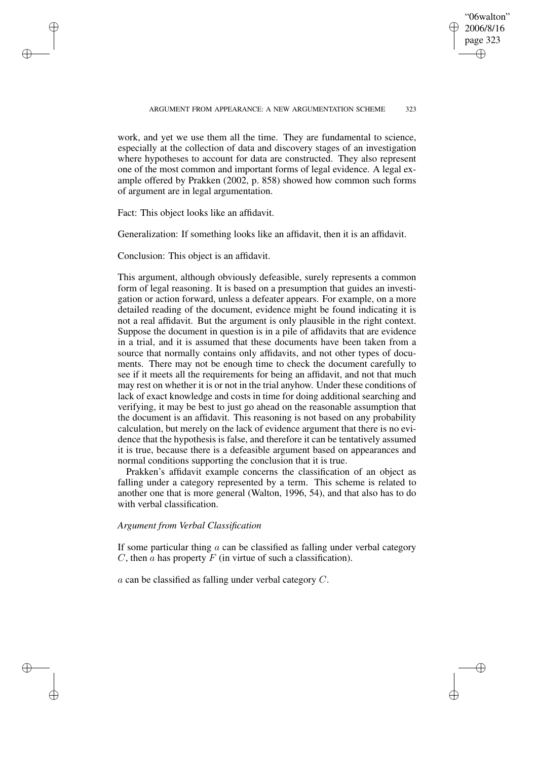✐

### ARGUMENT FROM APPEARANCE: A NEW ARGUMENTATION SCHEME 323

work, and yet we use them all the time. They are fundamental to science, especially at the collection of data and discovery stages of an investigation where hypotheses to account for data are constructed. They also represent one of the most common and important forms of legal evidence. A legal example offered by Prakken (2002, p. 858) showed how common such forms of argument are in legal argumentation.

Fact: This object looks like an affidavit.

✐

✐

✐

✐

Generalization: If something looks like an affidavit, then it is an affidavit.

Conclusion: This object is an affidavit.

This argument, although obviously defeasible, surely represents a common form of legal reasoning. It is based on a presumption that guides an investigation or action forward, unless a defeater appears. For example, on a more detailed reading of the document, evidence might be found indicating it is not a real affidavit. But the argument is only plausible in the right context. Suppose the document in question is in a pile of affidavits that are evidence in a trial, and it is assumed that these documents have been taken from a source that normally contains only affidavits, and not other types of documents. There may not be enough time to check the document carefully to see if it meets all the requirements for being an affidavit, and not that much may rest on whether it is or not in the trial anyhow. Under these conditions of lack of exact knowledge and costs in time for doing additional searching and verifying, it may be best to just go ahead on the reasonable assumption that the document is an affidavit. This reasoning is not based on any probability calculation, but merely on the lack of evidence argument that there is no evidence that the hypothesis is false, and therefore it can be tentatively assumed it is true, because there is a defeasible argument based on appearances and normal conditions supporting the conclusion that it is true.

Prakken's affidavit example concerns the classification of an object as falling under a category represented by a term. This scheme is related to another one that is more general (Walton, 1996, 54), and that also has to do with verbal classification.

### *Argument from Verbal Classification*

If some particular thing  $\alpha$  can be classified as falling under verbal category C, then  $\overline{a}$  has property  $\overline{F}$  (in virtue of such a classification).

a can be classified as falling under verbal category C.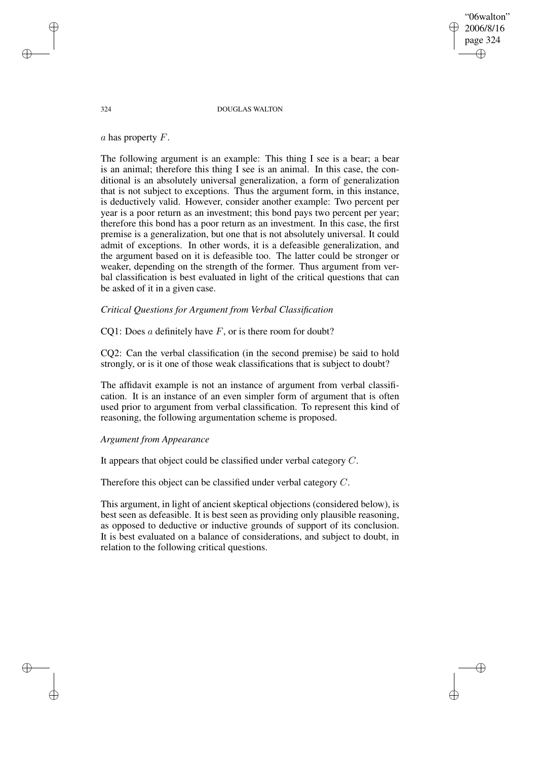"06walton" 2006/8/16 page 324 ✐ ✐

✐

✐

### 324 DOUGLAS WALTON

 $a$  has property  $F$ .

The following argument is an example: This thing I see is a bear; a bear is an animal; therefore this thing I see is an animal. In this case, the conditional is an absolutely universal generalization, a form of generalization that is not subject to exceptions. Thus the argument form, in this instance, is deductively valid. However, consider another example: Two percent per year is a poor return as an investment; this bond pays two percent per year; therefore this bond has a poor return as an investment. In this case, the first premise is a generalization, but one that is not absolutely universal. It could admit of exceptions. In other words, it is a defeasible generalization, and the argument based on it is defeasible too. The latter could be stronger or weaker, depending on the strength of the former. Thus argument from verbal classification is best evaluated in light of the critical questions that can be asked of it in a given case.

# *Critical Questions for Argument from Verbal Classification*

CO1: Does a definitely have  $F$ , or is there room for doubt?

CQ2: Can the verbal classification (in the second premise) be said to hold strongly, or is it one of those weak classifications that is subject to doubt?

The affidavit example is not an instance of argument from verbal classification. It is an instance of an even simpler form of argument that is often used prior to argument from verbal classification. To represent this kind of reasoning, the following argumentation scheme is proposed.

### *Argument from Appearance*

It appears that object could be classified under verbal category C.

Therefore this object can be classified under verbal category C.

This argument, in light of ancient skeptical objections (considered below), is best seen as defeasible. It is best seen as providing only plausible reasoning, as opposed to deductive or inductive grounds of support of its conclusion. It is best evaluated on a balance of considerations, and subject to doubt, in relation to the following critical questions.

✐

✐

✐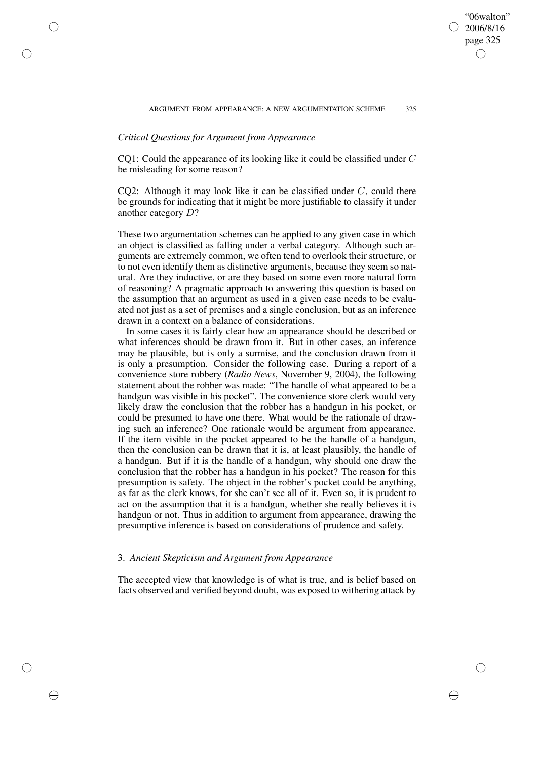"06walton" 2006/8/16 page 325

✐

✐

✐

✐

# *Critical Questions for Argument from Appearance*

✐

✐

✐

✐

CQ1: Could the appearance of its looking like it could be classified under C be misleading for some reason?

CQ2: Although it may look like it can be classified under  $C$ , could there be grounds for indicating that it might be more justifiable to classify it under another category D?

These two argumentation schemes can be applied to any given case in which an object is classified as falling under a verbal category. Although such arguments are extremely common, we often tend to overlook their structure, or to not even identify them as distinctive arguments, because they seem so natural. Are they inductive, or are they based on some even more natural form of reasoning? A pragmatic approach to answering this question is based on the assumption that an argument as used in a given case needs to be evaluated not just as a set of premises and a single conclusion, but as an inference drawn in a context on a balance of considerations.

In some cases it is fairly clear how an appearance should be described or what inferences should be drawn from it. But in other cases, an inference may be plausible, but is only a surmise, and the conclusion drawn from it is only a presumption. Consider the following case. During a report of a convenience store robbery (*Radio News*, November 9, 2004), the following statement about the robber was made: "The handle of what appeared to be a handgun was visible in his pocket". The convenience store clerk would very likely draw the conclusion that the robber has a handgun in his pocket, or could be presumed to have one there. What would be the rationale of drawing such an inference? One rationale would be argument from appearance. If the item visible in the pocket appeared to be the handle of a handgun, then the conclusion can be drawn that it is, at least plausibly, the handle of a handgun. But if it is the handle of a handgun, why should one draw the conclusion that the robber has a handgun in his pocket? The reason for this presumption is safety. The object in the robber's pocket could be anything, as far as the clerk knows, for she can't see all of it. Even so, it is prudent to act on the assumption that it is a handgun, whether she really believes it is handgun or not. Thus in addition to argument from appearance, drawing the presumptive inference is based on considerations of prudence and safety.

# 3. *Ancient Skepticism and Argument from Appearance*

The accepted view that knowledge is of what is true, and is belief based on facts observed and verified beyond doubt, was exposed to withering attack by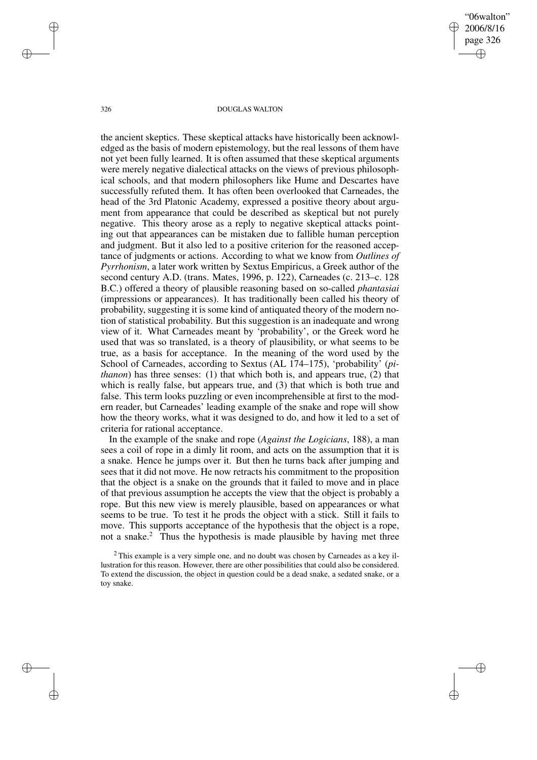"06walton" 2006/8/16 page 326 ✐ ✐

✐

✐

#### 326 DOUGLAS WALTON

the ancient skeptics. These skeptical attacks have historically been acknowledged as the basis of modern epistemology, but the real lessons of them have not yet been fully learned. It is often assumed that these skeptical arguments were merely negative dialectical attacks on the views of previous philosophical schools, and that modern philosophers like Hume and Descartes have successfully refuted them. It has often been overlooked that Carneades, the head of the 3rd Platonic Academy, expressed a positive theory about argument from appearance that could be described as skeptical but not purely negative. This theory arose as a reply to negative skeptical attacks pointing out that appearances can be mistaken due to fallible human perception and judgment. But it also led to a positive criterion for the reasoned acceptance of judgments or actions. According to what we know from *Outlines of Pyrrhonism*, a later work written by Sextus Empiricus, a Greek author of the second century A.D. (trans. Mates, 1996, p. 122), Carneades (c. 213–c. 128 B.C.) offered a theory of plausible reasoning based on so-called *phantasiai* (impressions or appearances). It has traditionally been called his theory of probability, suggesting it is some kind of antiquated theory of the modern notion of statistical probability. But this suggestion is an inadequate and wrong view of it. What Carneades meant by 'probability', or the Greek word he used that was so translated, is a theory of plausibility, or what seems to be true, as a basis for acceptance. In the meaning of the word used by the School of Carneades, according to Sextus (AL 174–175), 'probability' (*pithanon*) has three senses: (1) that which both is, and appears true, (2) that which is really false, but appears true, and  $(3)$  that which is both true and false. This term looks puzzling or even incomprehensible at first to the modern reader, but Carneades' leading example of the snake and rope will show how the theory works, what it was designed to do, and how it led to a set of criteria for rational acceptance.

In the example of the snake and rope (*Against the Logicians*, 188), a man sees a coil of rope in a dimly lit room, and acts on the assumption that it is a snake. Hence he jumps over it. But then he turns back after jumping and sees that it did not move. He now retracts his commitment to the proposition that the object is a snake on the grounds that it failed to move and in place of that previous assumption he accepts the view that the object is probably a rope. But this new view is merely plausible, based on appearances or what seems to be true. To test it he prods the object with a stick. Still it fails to move. This supports acceptance of the hypothesis that the object is a rope, not a snake.<sup>2</sup> Thus the hypothesis is made plausible by having met three

✐

✐

✐

 $2$  This example is a very simple one, and no doubt was chosen by Carneades as a key illustration for this reason. However, there are other possibilities that could also be considered. To extend the discussion, the object in question could be a dead snake, a sedated snake, or a toy snake.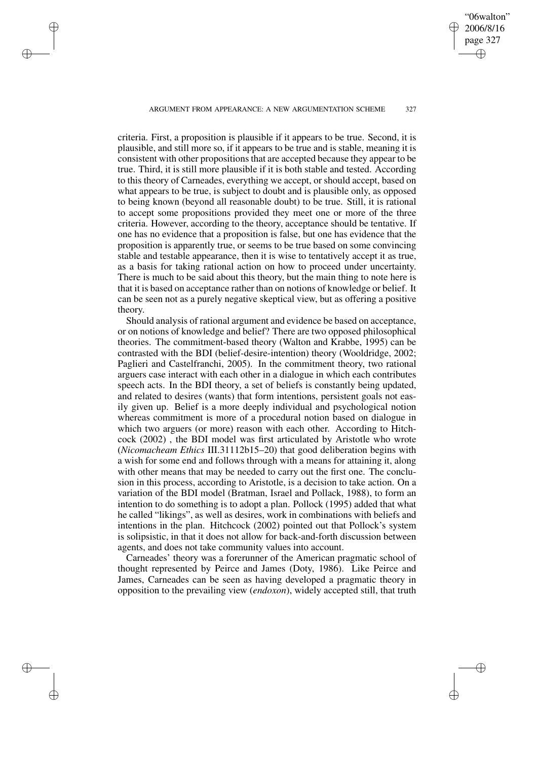ARGUMENT FROM APPEARANCE: A NEW ARGUMENTATION SCHEME 327

✐

✐

✐

✐

"06walton" 2006/8/16 page 327

✐

✐

✐

✐

criteria. First, a proposition is plausible if it appears to be true. Second, it is plausible, and still more so, if it appears to be true and is stable, meaning it is consistent with other propositionsthat are accepted because they appear to be true. Third, it is still more plausible if it is both stable and tested. According to this theory of Carneades, everything we accept, or should accept, based on what appears to be true, is subject to doubt and is plausible only, as opposed to being known (beyond all reasonable doubt) to be true. Still, it is rational to accept some propositions provided they meet one or more of the three criteria. However, according to the theory, acceptance should be tentative. If one has no evidence that a proposition is false, but one has evidence that the proposition is apparently true, or seems to be true based on some convincing stable and testable appearance, then it is wise to tentatively accept it as true, as a basis for taking rational action on how to proceed under uncertainty. There is much to be said about this theory, but the main thing to note here is that it is based on acceptance rather than on notions of knowledge or belief. It can be seen not as a purely negative skeptical view, but as offering a positive theory.

Should analysis of rational argument and evidence be based on acceptance, or on notions of knowledge and belief? There are two opposed philosophical theories. The commitment-based theory (Walton and Krabbe, 1995) can be contrasted with the BDI (belief-desire-intention) theory (Wooldridge, 2002; Paglieri and Castelfranchi, 2005). In the commitment theory, two rational arguers case interact with each other in a dialogue in which each contributes speech acts. In the BDI theory, a set of beliefs is constantly being updated, and related to desires (wants) that form intentions, persistent goals not easily given up. Belief is a more deeply individual and psychological notion whereas commitment is more of a procedural notion based on dialogue in which two arguers (or more) reason with each other. According to Hitchcock (2002) , the BDI model was first articulated by Aristotle who wrote (*Nicomacheam Ethics* III.31112b15–20) that good deliberation begins with a wish for some end and follows through with a means for attaining it, along with other means that may be needed to carry out the first one. The conclusion in this process, according to Aristotle, is a decision to take action. On a variation of the BDI model (Bratman, Israel and Pollack, 1988), to form an intention to do something is to adopt a plan. Pollock (1995) added that what he called "likings", as well as desires, work in combinations with beliefs and intentions in the plan. Hitchcock (2002) pointed out that Pollock's system is solipsistic, in that it does not allow for back-and-forth discussion between agents, and does not take community values into account.

Carneades' theory was a forerunner of the American pragmatic school of thought represented by Peirce and James (Doty, 1986). Like Peirce and James, Carneades can be seen as having developed a pragmatic theory in opposition to the prevailing view (*endoxon*), widely accepted still, that truth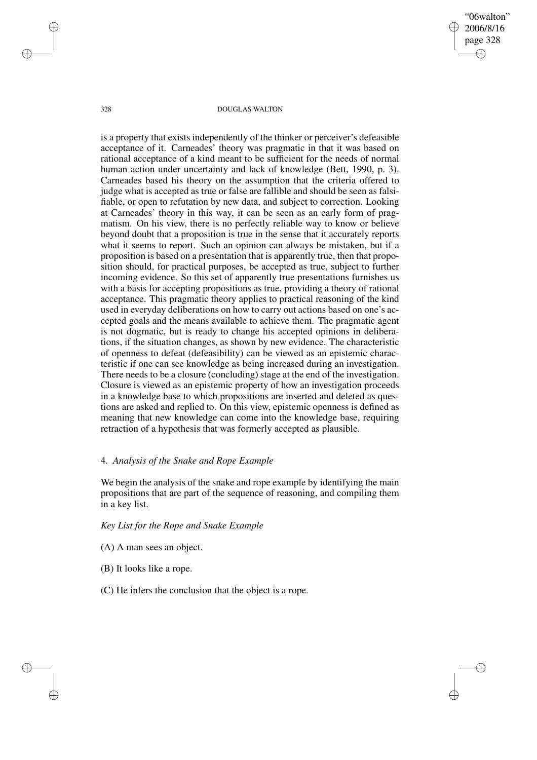"06walton" 2006/8/16 page 328 ✐ ✐

✐

✐

#### 328 DOUGLAS WALTON

is a property that exists independently of the thinker or perceiver's defeasible acceptance of it. Carneades' theory was pragmatic in that it was based on rational acceptance of a kind meant to be sufficient for the needs of normal human action under uncertainty and lack of knowledge (Bett, 1990, p. 3). Carneades based his theory on the assumption that the criteria offered to judge what is accepted as true or false are fallible and should be seen as falsifiable, or open to refutation by new data, and subject to correction. Looking at Carneades' theory in this way, it can be seen as an early form of pragmatism. On his view, there is no perfectly reliable way to know or believe beyond doubt that a proposition is true in the sense that it accurately reports what it seems to report. Such an opinion can always be mistaken, but if a proposition is based on a presentation that is apparently true, then that proposition should, for practical purposes, be accepted as true, subject to further incoming evidence. So this set of apparently true presentations furnishes us with a basis for accepting propositions as true, providing a theory of rational acceptance. This pragmatic theory applies to practical reasoning of the kind used in everyday deliberations on how to carry out actions based on one's accepted goals and the means available to achieve them. The pragmatic agent is not dogmatic, but is ready to change his accepted opinions in deliberations, if the situation changes, as shown by new evidence. The characteristic of openness to defeat (defeasibility) can be viewed as an epistemic characteristic if one can see knowledge as being increased during an investigation. There needs to be a closure (concluding) stage at the end of the investigation. Closure is viewed as an epistemic property of how an investigation proceeds in a knowledge base to which propositions are inserted and deleted as questions are asked and replied to. On this view, epistemic openness is defined as meaning that new knowledge can come into the knowledge base, requiring retraction of a hypothesis that was formerly accepted as plausible.

# 4. *Analysis of the Snake and Rope Example*

We begin the analysis of the snake and rope example by identifying the main propositions that are part of the sequence of reasoning, and compiling them in a key list.

*Key List for the Rope and Snake Example*

- (A) A man sees an object.
- (B) It looks like a rope.
- (C) He infers the conclusion that the object is a rope.

✐

✐

✐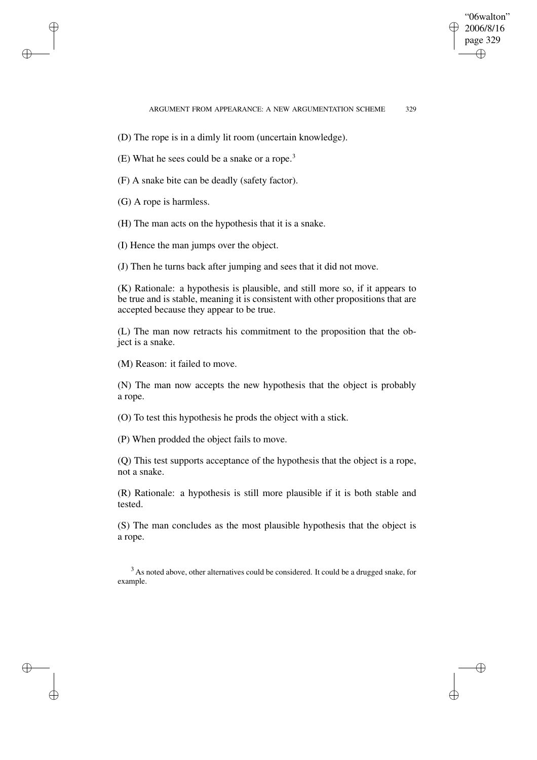✐

- (D) The rope is in a dimly lit room (uncertain knowledge).
- (E) What he sees could be a snake or a rope.<sup>3</sup>
- (F) A snake bite can be deadly (safety factor).
- (G) A rope is harmless.

✐

✐

✐

✐

- (H) The man acts on the hypothesis that it is a snake.
- (I) Hence the man jumps over the object.
- (J) Then he turns back after jumping and sees that it did not move.

(K) Rationale: a hypothesis is plausible, and still more so, if it appears to be true and is stable, meaning it is consistent with other propositions that are accepted because they appear to be true.

(L) The man now retracts his commitment to the proposition that the object is a snake.

(M) Reason: it failed to move.

(N) The man now accepts the new hypothesis that the object is probably a rope.

(O) To test this hypothesis he prods the object with a stick.

(P) When prodded the object fails to move.

(Q) This test supports acceptance of the hypothesis that the object is a rope, not a snake.

(R) Rationale: a hypothesis is still more plausible if it is both stable and tested.

(S) The man concludes as the most plausible hypothesis that the object is a rope.

<sup>3</sup> As noted above, other alternatives could be considered. It could be a drugged snake, for example.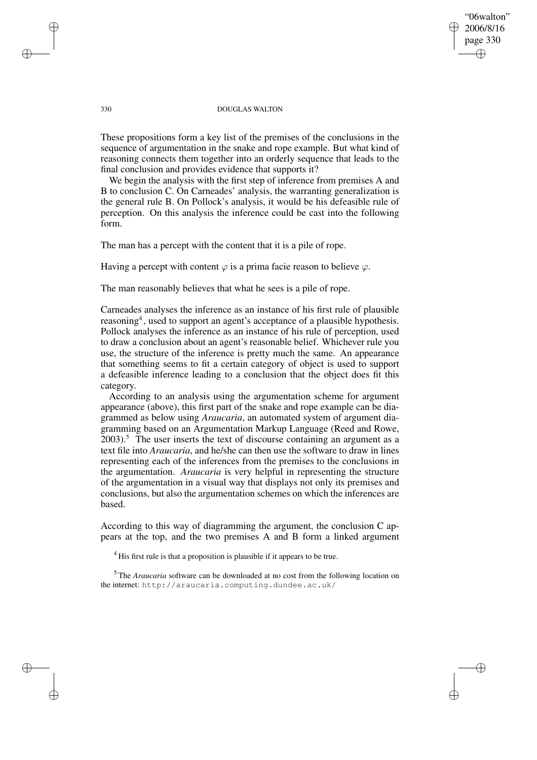## "06walton" 2006/8/16 page 330 ✐ ✐

✐

✐

### 330 DOUGLAS WALTON

These propositions form a key list of the premises of the conclusions in the sequence of argumentation in the snake and rope example. But what kind of reasoning connects them together into an orderly sequence that leads to the final conclusion and provides evidence that supports it?

We begin the analysis with the first step of inference from premises A and B to conclusion C. On Carneades' analysis, the warranting generalization is the general rule B. On Pollock's analysis, it would be his defeasible rule of perception. On this analysis the inference could be cast into the following form.

The man has a percept with the content that it is a pile of rope.

Having a percept with content  $\varphi$  is a prima facie reason to believe  $\varphi$ .

The man reasonably believes that what he sees is a pile of rope.

Carneades analyses the inference as an instance of his first rule of plausible reasoning<sup>4</sup>, used to support an agent's acceptance of a plausible hypothesis. Pollock analyses the inference as an instance of his rule of perception, used to draw a conclusion about an agent's reasonable belief. Whichever rule you use, the structure of the inference is pretty much the same. An appearance that something seems to fit a certain category of object is used to support a defeasible inference leading to a conclusion that the object does fit this category.

According to an analysis using the argumentation scheme for argument appearance (above), this first part of the snake and rope example can be diagrammed as below using *Araucaria*, an automated system of argument diagramming based on an Argumentation Markup Language (Reed and Rowe,  $2003$ ).<sup>5</sup> The user inserts the text of discourse containing an argument as a text file into *Araucaria*, and he/she can then use the software to draw in lines representing each of the inferences from the premises to the conclusions in the argumentation. *Araucaria* is very helpful in representing the structure of the argumentation in a visual way that displays not only its premises and conclusions, but also the argumentation schemes on which the inferences are based.

According to this way of diagramming the argument, the conclusion C appears at the top, and the two premises A and B form a linked argument

<sup>4</sup> His first rule is that a proposition is plausible if it appears to be true.

<sup>5</sup> The *Araucaria* software can be downloaded at no cost from the following location on the internet: http://araucaria.computing.dundee.ac.uk/

✐

✐

✐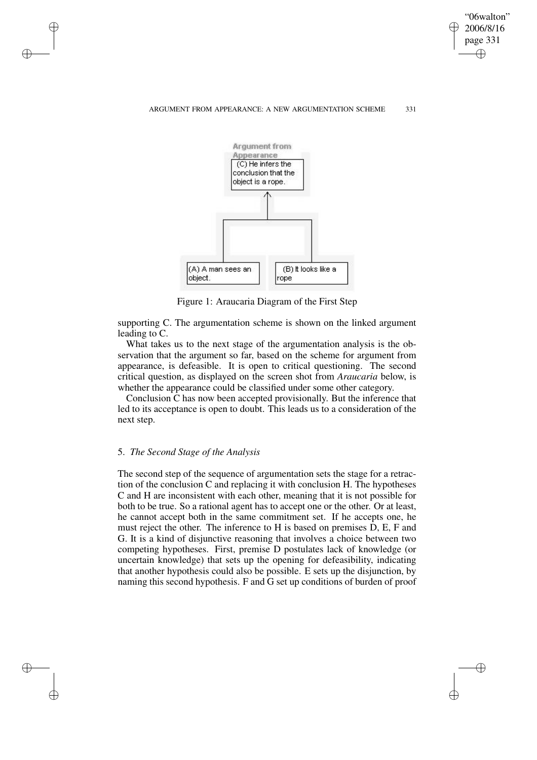"06walton" 2006/8/16 page 331 ✐ ✐

✐

### ARGUMENT FROM APPEARANCE: A NEW ARGUMENTATION SCHEME 331



Figure 1: Araucaria Diagram of the First Step

supporting C. The argumentation scheme is shown on the linked argument leading to C.

What takes us to the next stage of the argumentation analysis is the observation that the argument so far, based on the scheme for argument from appearance, is defeasible. It is open to critical questioning. The second critical question, as displayed on the screen shot from *Araucaria* below, is whether the appearance could be classified under some other category.

Conclusion C has now been accepted provisionally. But the inference that led to its acceptance is open to doubt. This leads us to a consideration of the next step.

### 5. *The Second Stage of the Analysis*

✐

✐

✐

✐

The second step of the sequence of argumentation sets the stage for a retraction of the conclusion C and replacing it with conclusion H. The hypotheses C and H are inconsistent with each other, meaning that it is not possible for both to be true. So a rational agent has to accept one or the other. Or at least, he cannot accept both in the same commitment set. If he accepts one, he must reject the other. The inference to H is based on premises D, E, F and G. It is a kind of disjunctive reasoning that involves a choice between two competing hypotheses. First, premise D postulates lack of knowledge (or uncertain knowledge) that sets up the opening for defeasibility, indicating that another hypothesis could also be possible. E sets up the disjunction, by naming this second hypothesis. F and G set up conditions of burden of proof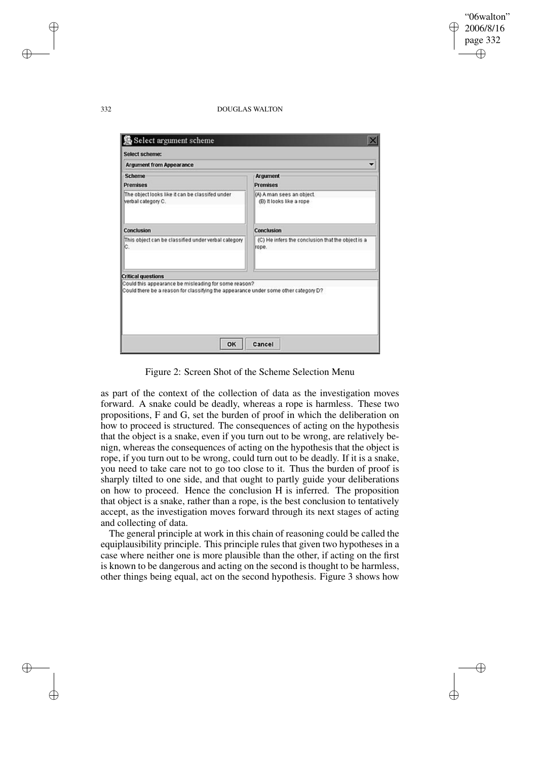✐

#### 332 DOUGLAS WALTON

| Select scheme:                                                                                                                              |                                                            |
|---------------------------------------------------------------------------------------------------------------------------------------------|------------------------------------------------------------|
| <b>Argument from Appearance</b>                                                                                                             |                                                            |
| <b>Scheme</b><br><b>Premises</b>                                                                                                            | Argument<br><b>Premises</b>                                |
| The object looks like it can be classifed under<br>verbal category C.                                                                       | (A) A man sees an object.<br>(B) It looks like a rope      |
| Conclusion                                                                                                                                  | Conclusion                                                 |
| This object can be classified under verbal category<br>C.                                                                                   | (C) He infers the conclusion that the object is a<br>rope. |
| <b>Critical questions</b>                                                                                                                   |                                                            |
| Could this appearance be misleading for some reason?<br>Could there be a reason for classifying the appearance under some other category D? |                                                            |

Figure 2: Screen Shot of the Scheme Selection Menu

as part of the context of the collection of data as the investigation moves forward. A snake could be deadly, whereas a rope is harmless. These two propositions, F and G, set the burden of proof in which the deliberation on how to proceed is structured. The consequences of acting on the hypothesis that the object is a snake, even if you turn out to be wrong, are relatively benign, whereas the consequences of acting on the hypothesis that the object is rope, if you turn out to be wrong, could turn out to be deadly. If it is a snake, you need to take care not to go too close to it. Thus the burden of proof is sharply tilted to one side, and that ought to partly guide your deliberations on how to proceed. Hence the conclusion H is inferred. The proposition that object is a snake, rather than a rope, is the best conclusion to tentatively accept, as the investigation moves forward through its next stages of acting and collecting of data.

The general principle at work in this chain of reasoning could be called the equiplausibility principle. This principle rules that given two hypotheses in a case where neither one is more plausible than the other, if acting on the first is known to be dangerous and acting on the second is thought to be harmless, other things being equal, act on the second hypothesis. Figure 3 shows how

✐

✐

✐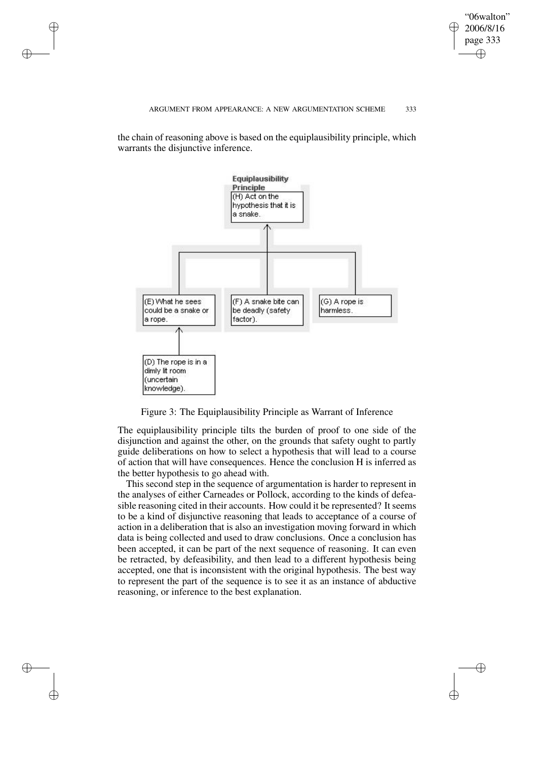"06walton" 2006/8/16 page 333 ✐ ✐

✐

#### ARGUMENT FROM APPEARANCE: A NEW ARGUMENTATION SCHEME 333

the chain of reasoning above is based on the equiplausibility principle, which warrants the disjunctive inference.

✐

✐

✐

✐



Figure 3: The Equiplausibility Principle as Warrant of Inference

The equiplausibility principle tilts the burden of proof to one side of the disjunction and against the other, on the grounds that safety ought to partly guide deliberations on how to select a hypothesis that will lead to a course of action that will have consequences. Hence the conclusion H is inferred as the better hypothesis to go ahead with.

This second step in the sequence of argumentation is harder to represent in the analyses of either Carneades or Pollock, according to the kinds of defeasible reasoning cited in their accounts. How could it be represented? It seems to be a kind of disjunctive reasoning that leads to acceptance of a course of action in a deliberation that is also an investigation moving forward in which data is being collected and used to draw conclusions. Once a conclusion has been accepted, it can be part of the next sequence of reasoning. It can even be retracted, by defeasibility, and then lead to a different hypothesis being accepted, one that is inconsistent with the original hypothesis. The best way to represent the part of the sequence is to see it as an instance of abductive reasoning, or inference to the best explanation.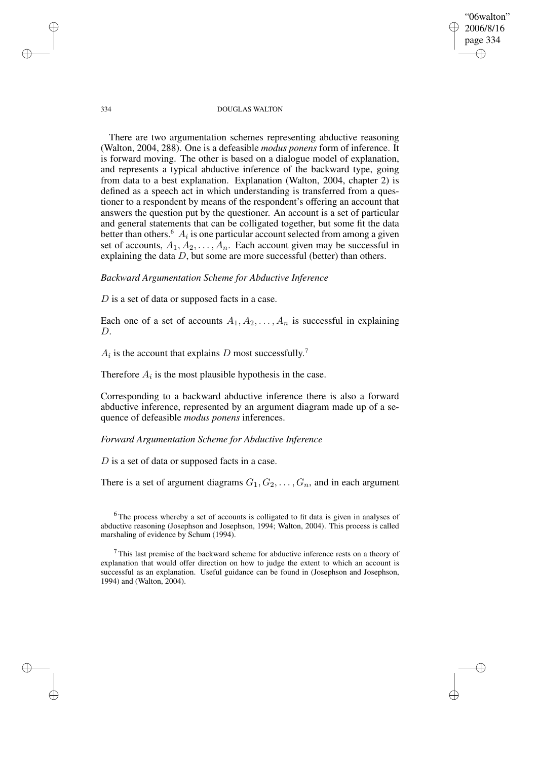"06walton" 2006/8/16 page 334 ✐ ✐

✐

✐

#### 334 DOUGLAS WALTON

There are two argumentation schemes representing abductive reasoning (Walton, 2004, 288). One is a defeasible *modus ponens* form of inference. It is forward moving. The other is based on a dialogue model of explanation, and represents a typical abductive inference of the backward type, going from data to a best explanation. Explanation (Walton, 2004, chapter 2) is defined as a speech act in which understanding is transferred from a questioner to a respondent by means of the respondent's offering an account that answers the question put by the questioner. An account is a set of particular and general statements that can be colligated together, but some fit the data better than others.<sup>6</sup>  $A_i$  is one particular account selected from among a given set of accounts,  $A_1, A_2, \ldots, A_n$ . Each account given may be successful in explaining the data  $D$ , but some are more successful (better) than others.

### *Backward Argumentation Scheme for Abductive Inference*

D is a set of data or supposed facts in a case.

Each one of a set of accounts  $A_1, A_2, \ldots, A_n$  is successful in explaining D.

 $A_i$  is the account that explains D most successfully.<sup>7</sup>

Therefore  $A_i$  is the most plausible hypothesis in the case.

Corresponding to a backward abductive inference there is also a forward abductive inference, represented by an argument diagram made up of a sequence of defeasible *modus ponens* inferences.

### *Forward Argumentation Scheme for Abductive Inference*

D is a set of data or supposed facts in a case.

There is a set of argument diagrams  $G_1, G_2, \ldots, G_n$ , and in each argument

<sup>6</sup>The process whereby a set of accounts is colligated to fit data is given in analyses of abductive reasoning (Josephson and Josephson, 1994; Walton, 2004). This process is called marshaling of evidence by Schum (1994).

 $<sup>7</sup>$  This last premise of the backward scheme for abductive inference rests on a theory of</sup> explanation that would offer direction on how to judge the extent to which an account is successful as an explanation. Useful guidance can be found in (Josephson and Josephson, 1994) and (Walton, 2004).

✐

✐

✐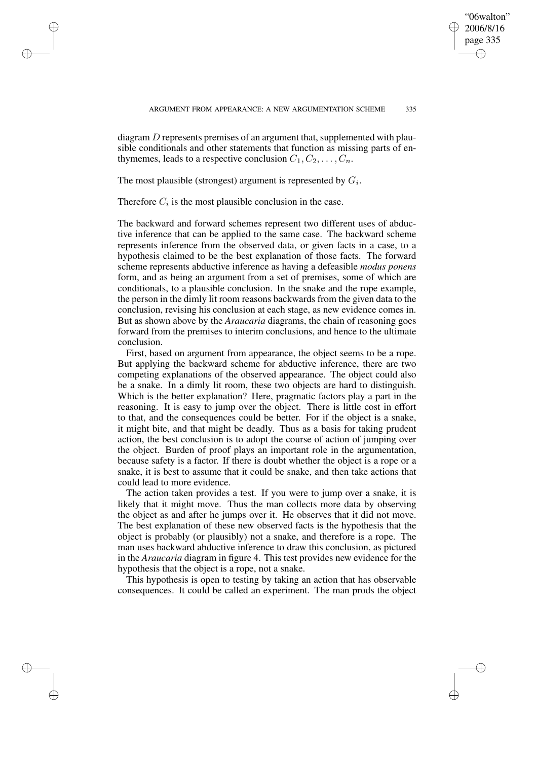✐

diagram  $D$  represents premises of an argument that, supplemented with plausible conditionals and other statements that function as missing parts of enthymemes, leads to a respective conclusion  $C_1, C_2, \ldots, C_n$ .

The most plausible (strongest) argument is represented by  $G_i$ .

Therefore  $C_i$  is the most plausible conclusion in the case.

✐

✐

✐

✐

The backward and forward schemes represent two different uses of abductive inference that can be applied to the same case. The backward scheme represents inference from the observed data, or given facts in a case, to a hypothesis claimed to be the best explanation of those facts. The forward scheme represents abductive inference as having a defeasible *modus ponens* form, and as being an argument from a set of premises, some of which are conditionals, to a plausible conclusion. In the snake and the rope example, the person in the dimly lit room reasons backwards from the given data to the conclusion, revising his conclusion at each stage, as new evidence comes in. But as shown above by the *Araucaria* diagrams, the chain of reasoning goes forward from the premises to interim conclusions, and hence to the ultimate conclusion.

First, based on argument from appearance, the object seems to be a rope. But applying the backward scheme for abductive inference, there are two competing explanations of the observed appearance. The object could also be a snake. In a dimly lit room, these two objects are hard to distinguish. Which is the better explanation? Here, pragmatic factors play a part in the reasoning. It is easy to jump over the object. There is little cost in effort to that, and the consequences could be better. For if the object is a snake, it might bite, and that might be deadly. Thus as a basis for taking prudent action, the best conclusion is to adopt the course of action of jumping over the object. Burden of proof plays an important role in the argumentation, because safety is a factor. If there is doubt whether the object is a rope or a snake, it is best to assume that it could be snake, and then take actions that could lead to more evidence.

The action taken provides a test. If you were to jump over a snake, it is likely that it might move. Thus the man collects more data by observing the object as and after he jumps over it. He observes that it did not move. The best explanation of these new observed facts is the hypothesis that the object is probably (or plausibly) not a snake, and therefore is a rope. The man uses backward abductive inference to draw this conclusion, as pictured in the *Araucaria* diagram in figure 4. This test provides new evidence for the hypothesis that the object is a rope, not a snake.

This hypothesis is open to testing by taking an action that has observable consequences. It could be called an experiment. The man prods the object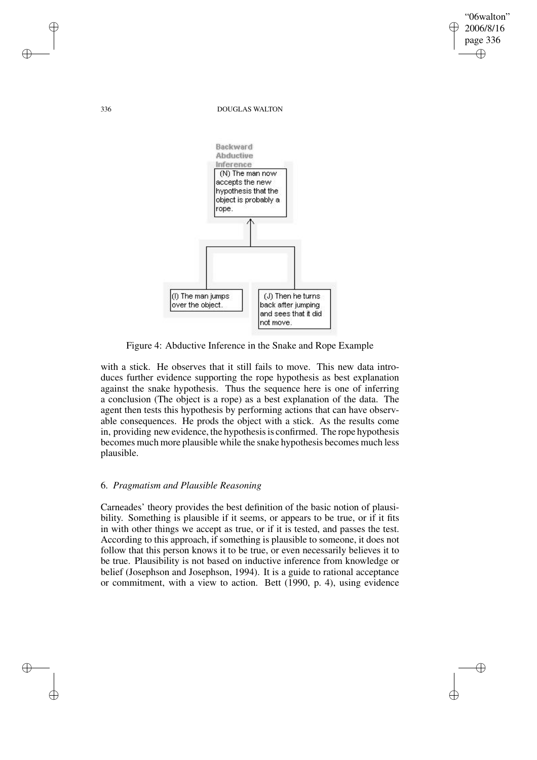336 DOUGLAS WALTON

"06walton" 2006/8/16 page 336

✐

✐

✐

✐



Figure 4: Abductive Inference in the Snake and Rope Example

with a stick. He observes that it still fails to move. This new data introduces further evidence supporting the rope hypothesis as best explanation against the snake hypothesis. Thus the sequence here is one of inferring a conclusion (The object is a rope) as a best explanation of the data. The agent then tests this hypothesis by performing actions that can have observable consequences. He prods the object with a stick. As the results come in, providing new evidence, the hypothesis is confirmed. The rope hypothesis becomes much more plausible while the snake hypothesis becomes much less plausible.

# 6. *Pragmatism and Plausible Reasoning*

Carneades' theory provides the best definition of the basic notion of plausibility. Something is plausible if it seems, or appears to be true, or if it fits in with other things we accept as true, or if it is tested, and passes the test. According to this approach, if something is plausible to someone, it does not follow that this person knows it to be true, or even necessarily believes it to be true. Plausibility is not based on inductive inference from knowledge or belief (Josephson and Josephson, 1994). It is a guide to rational acceptance or commitment, with a view to action. Bett (1990, p. 4), using evidence

✐

✐

✐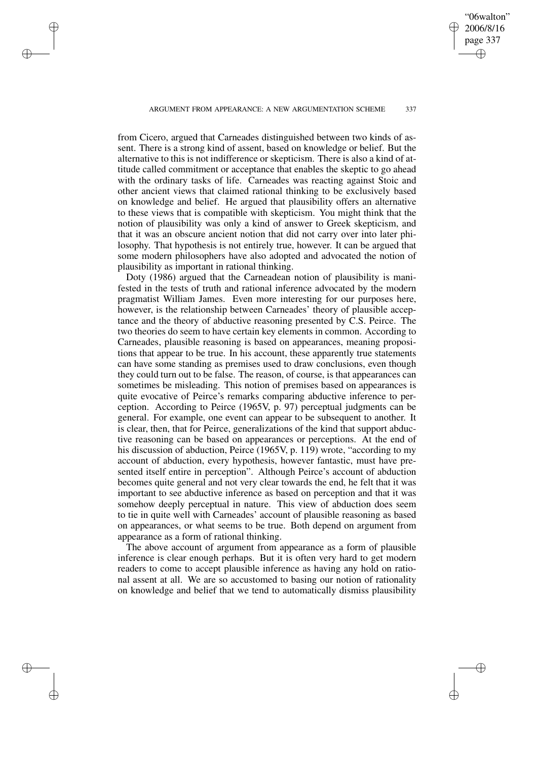ARGUMENT FROM APPEARANCE: A NEW ARGUMENTATION SCHEME 337

✐

✐

✐

✐

"06walton" 2006/8/16 page 337

✐

✐

✐

✐

from Cicero, argued that Carneades distinguished between two kinds of assent. There is a strong kind of assent, based on knowledge or belief. But the alternative to this is not indifference or skepticism. There is also a kind of attitude called commitment or acceptance that enables the skeptic to go ahead with the ordinary tasks of life. Carneades was reacting against Stoic and other ancient views that claimed rational thinking to be exclusively based on knowledge and belief. He argued that plausibility offers an alternative to these views that is compatible with skepticism. You might think that the notion of plausibility was only a kind of answer to Greek skepticism, and that it was an obscure ancient notion that did not carry over into later philosophy. That hypothesis is not entirely true, however. It can be argued that some modern philosophers have also adopted and advocated the notion of plausibility as important in rational thinking.

Doty (1986) argued that the Carneadean notion of plausibility is manifested in the tests of truth and rational inference advocated by the modern pragmatist William James. Even more interesting for our purposes here, however, is the relationship between Carneades' theory of plausible acceptance and the theory of abductive reasoning presented by C.S. Peirce. The two theories do seem to have certain key elements in common. According to Carneades, plausible reasoning is based on appearances, meaning propositions that appear to be true. In his account, these apparently true statements can have some standing as premises used to draw conclusions, even though they could turn out to be false. The reason, of course, is that appearances can sometimes be misleading. This notion of premises based on appearances is quite evocative of Peirce's remarks comparing abductive inference to perception. According to Peirce (1965V, p. 97) perceptual judgments can be general. For example, one event can appear to be subsequent to another. It is clear, then, that for Peirce, generalizations of the kind that support abductive reasoning can be based on appearances or perceptions. At the end of his discussion of abduction, Peirce (1965V, p. 119) wrote, "according to my account of abduction, every hypothesis, however fantastic, must have presented itself entire in perception". Although Peirce's account of abduction becomes quite general and not very clear towards the end, he felt that it was important to see abductive inference as based on perception and that it was somehow deeply perceptual in nature. This view of abduction does seem to tie in quite well with Carneades' account of plausible reasoning as based on appearances, or what seems to be true. Both depend on argument from appearance as a form of rational thinking.

The above account of argument from appearance as a form of plausible inference is clear enough perhaps. But it is often very hard to get modern readers to come to accept plausible inference as having any hold on rational assent at all. We are so accustomed to basing our notion of rationality on knowledge and belief that we tend to automatically dismiss plausibility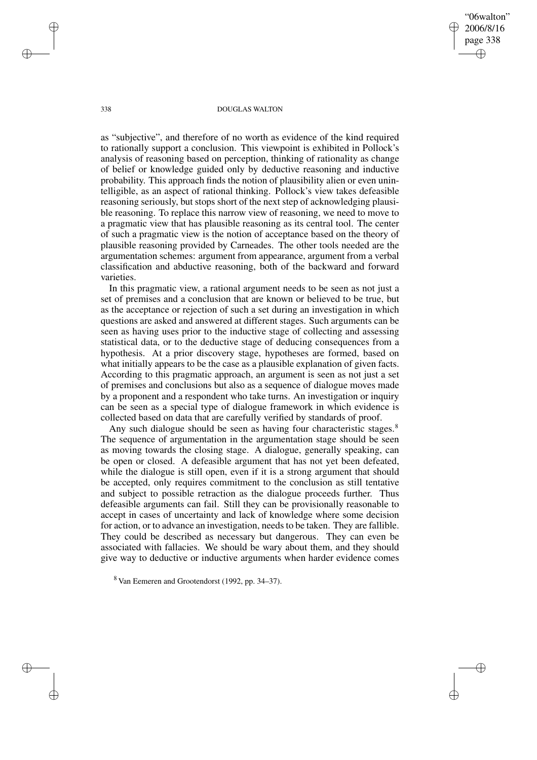"06walton" 2006/8/16 page 338 ✐ ✐

✐

✐

#### 338 DOUGLAS WALTON

as "subjective", and therefore of no worth as evidence of the kind required to rationally support a conclusion. This viewpoint is exhibited in Pollock's analysis of reasoning based on perception, thinking of rationality as change of belief or knowledge guided only by deductive reasoning and inductive probability. This approach finds the notion of plausibility alien or even unintelligible, as an aspect of rational thinking. Pollock's view takes defeasible reasoning seriously, but stops short of the next step of acknowledging plausible reasoning. To replace this narrow view of reasoning, we need to move to a pragmatic view that has plausible reasoning as its central tool. The center of such a pragmatic view is the notion of acceptance based on the theory of plausible reasoning provided by Carneades. The other tools needed are the argumentation schemes: argument from appearance, argument from a verbal classification and abductive reasoning, both of the backward and forward varieties.

In this pragmatic view, a rational argument needs to be seen as not just a set of premises and a conclusion that are known or believed to be true, but as the acceptance or rejection of such a set during an investigation in which questions are asked and answered at different stages. Such arguments can be seen as having uses prior to the inductive stage of collecting and assessing statistical data, or to the deductive stage of deducing consequences from a hypothesis. At a prior discovery stage, hypotheses are formed, based on what initially appears to be the case as a plausible explanation of given facts. According to this pragmatic approach, an argument is seen as not just a set of premises and conclusions but also as a sequence of dialogue moves made by a proponent and a respondent who take turns. An investigation or inquiry can be seen as a special type of dialogue framework in which evidence is collected based on data that are carefully verified by standards of proof.

Any such dialogue should be seen as having four characteristic stages.<sup>8</sup> The sequence of argumentation in the argumentation stage should be seen as moving towards the closing stage. A dialogue, generally speaking, can be open or closed. A defeasible argument that has not yet been defeated, while the dialogue is still open, even if it is a strong argument that should be accepted, only requires commitment to the conclusion as still tentative and subject to possible retraction as the dialogue proceeds further. Thus defeasible arguments can fail. Still they can be provisionally reasonable to accept in cases of uncertainty and lack of knowledge where some decision for action, or to advance an investigation, needs to be taken. They are fallible. They could be described as necessary but dangerous. They can even be associated with fallacies. We should be wary about them, and they should give way to deductive or inductive arguments when harder evidence comes

✐

✐

✐

<sup>8</sup> Van Eemeren and Grootendorst (1992, pp. 34–37).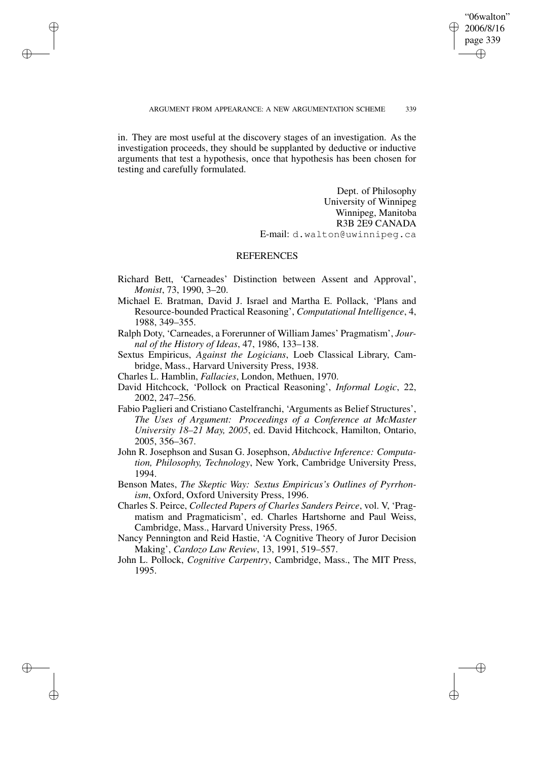✐

in. They are most useful at the discovery stages of an investigation. As the investigation proceeds, they should be supplanted by deductive or inductive arguments that test a hypothesis, once that hypothesis has been chosen for testing and carefully formulated.

✐

✐

✐

✐

Dept. of Philosophy University of Winnipeg Winnipeg, Manitoba R3B 2E9 CANADA E-mail: d.walton@uwinnipeg.ca

# **REFERENCES**

- Richard Bett, 'Carneades' Distinction between Assent and Approval', *Monist*, 73, 1990, 3–20.
- Michael E. Bratman, David J. Israel and Martha E. Pollack, 'Plans and Resource-bounded Practical Reasoning', *Computational Intelligence*, 4, 1988, 349–355.
- Ralph Doty, 'Carneades, a Forerunner of William James' Pragmatism', *Journal of the History of Ideas*, 47, 1986, 133–138.
- Sextus Empiricus, *Against the Logicians*, Loeb Classical Library, Cambridge, Mass., Harvard University Press, 1938.
- Charles L. Hamblin, *Fallacies*, London, Methuen, 1970.
- David Hitchcock, 'Pollock on Practical Reasoning', *Informal Logic*, 22, 2002, 247–256.
- Fabio Paglieri and Cristiano Castelfranchi, 'Arguments as Belief Structures', *The Uses of Argument: Proceedings of a Conference at McMaster University 18–21 May, 2005*, ed. David Hitchcock, Hamilton, Ontario, 2005, 356–367.
- John R. Josephson and Susan G. Josephson, *Abductive Inference: Computation, Philosophy, Technology*, New York, Cambridge University Press, 1994.
- Benson Mates, *The Skeptic Way: Sextus Empiricus's Outlines of Pyrrhonism*, Oxford, Oxford University Press, 1996.
- Charles S. Peirce, *Collected Papers of Charles Sanders Peirce*, vol. V, 'Pragmatism and Pragmaticism', ed. Charles Hartshorne and Paul Weiss, Cambridge, Mass., Harvard University Press, 1965.
- Nancy Pennington and Reid Hastie, 'A Cognitive Theory of Juror Decision Making', *Cardozo Law Review*, 13, 1991, 519–557.
- John L. Pollock, *Cognitive Carpentry*, Cambridge, Mass., The MIT Press, 1995.